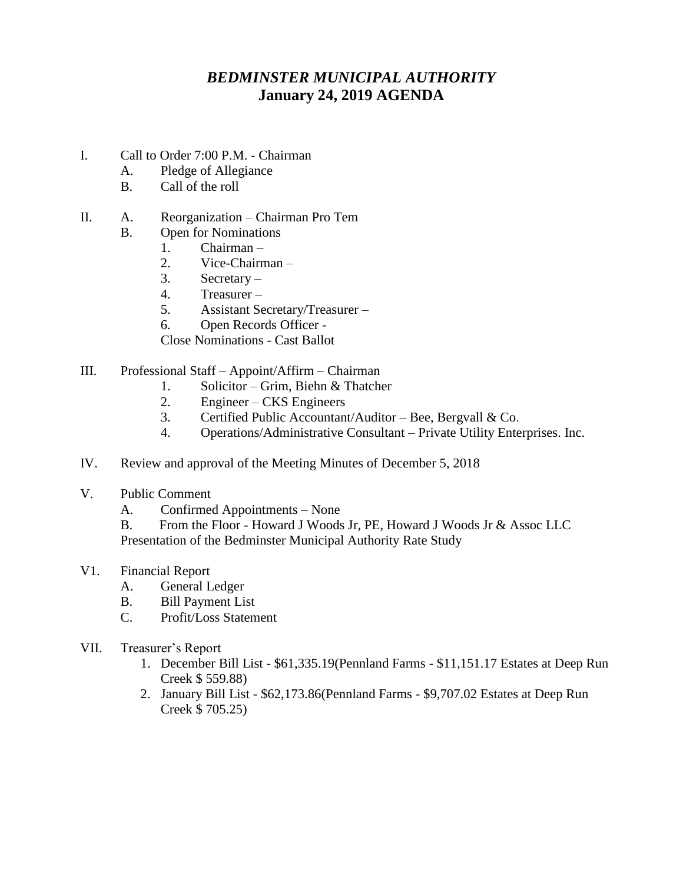## *BEDMINSTER MUNICIPAL AUTHORITY* **January 24, 2019 AGENDA**

- I. Call to Order 7:00 P.M. Chairman
	- A. Pledge of Allegiance
	- B. Call of the roll
- II. A. Reorganization Chairman Pro Tem
- B. Open for Nominations
	- 1. Chairman –
	- 2. Vice-Chairman –
	- 3. Secretary –
	- 4. Treasurer –
	- 5. Assistant Secretary/Treasurer –
	- 6. Open Records Officer -

Close Nominations - Cast Ballot

- III. Professional Staff Appoint/Affirm Chairman
	- 1. Solicitor Grim, Biehn & Thatcher
	- 2. Engineer CKS Engineers
	- 3. Certified Public Accountant/Auditor Bee, Bergvall & Co.
	- 4. Operations/Administrative Consultant Private Utility Enterprises. Inc.
- IV. Review and approval of the Meeting Minutes of December 5, 2018
- V. Public Comment
	- A. Confirmed Appointments None

B. From the Floor - Howard J Woods Jr, PE, Howard J Woods Jr & Assoc LLC Presentation of the Bedminster Municipal Authority Rate Study

- V1. Financial Report
	- A. General Ledger
	- B. Bill Payment List
	- C. Profit/Loss Statement
- VII. Treasurer's Report
	- 1. December Bill List \$61,335.19(Pennland Farms \$11,151.17 Estates at Deep Run Creek \$ 559.88)
	- 2. January Bill List \$62,173.86(Pennland Farms \$9,707.02 Estates at Deep Run Creek \$ 705.25)